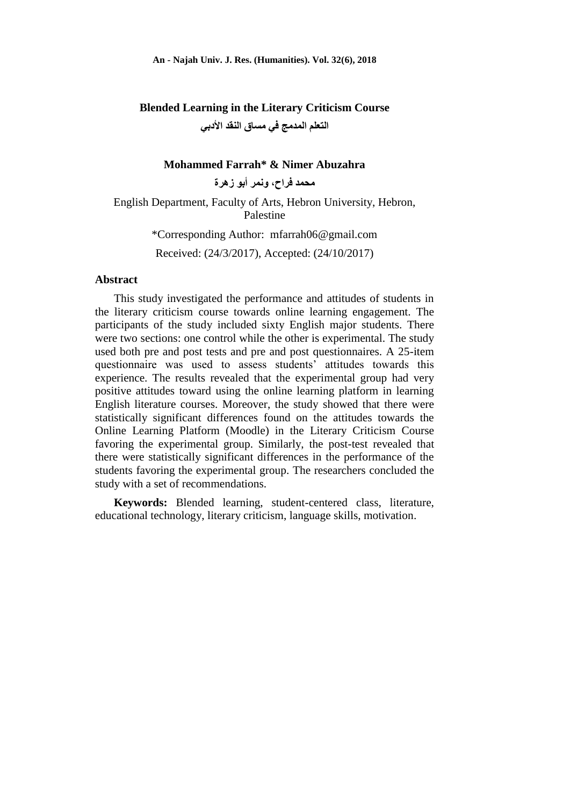**Blended Learning in the Literary Criticism Course [التعلم المذمج في مساق النقذ األدبي](https://journals.najah.edu/admin/osm/manuscript/1027/?_changelist_filters=q%3D%2BFarrah%26exclude%3Dshow_all%26status__exact%3Daccepted)**

#### **Mohammed Farrah\* & Nimer Abuzahra**

**محمذ فراح، ونمر أبو زهرة**

English Department, Faculty of Arts, Hebron University, Hebron, Palestine

> \*Corresponding Author: [mfarrah06@gmail.com](mailto:mfarrah06@gmail.com) Received: (24/3/2017), Accepted: (24/10/2017)

#### **Abstract**

This study investigated the performance and attitudes of students in the literary criticism course towards online learning engagement. The participants of the study included sixty English major students. There were two sections: one control while the other is experimental. The study used both pre and post tests and pre and post questionnaires. A 25-item questionnaire was used to assess students' attitudes towards this experience. The results revealed that the experimental group had very positive attitudes toward using the online learning platform in learning English literature courses. Moreover, the study showed that there were statistically significant differences found on the attitudes towards the Online Learning Platform (Moodle) in the Literary Criticism Course favoring the experimental group. Similarly, the post-test revealed that there were statistically significant differences in the performance of the students favoring the experimental group. The researchers concluded the study with a set of recommendations.

**Keywords:** Blended learning, student-centered class, literature, educational technology, literary criticism, language skills, motivation.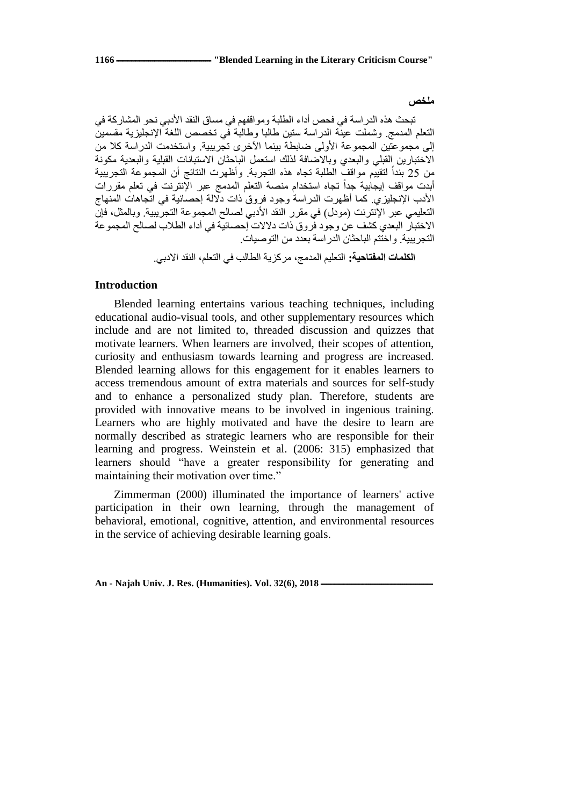#### **ملخص**

تبحث هذِ الدراسة في فحص أداء الطلبة ومواقفهم في مساق النقد الأدبي نحو المشاركة في النّعلم المدمج وشملت عينة الدراسة ستين طالبا وطالبة في تخصص اللغة الإنجليزية مقسمين إلى مجموعتين المجموعة الأولى ضابطة بينما الأخرى نجريبية. واستخدمت الدراسة كلا من الاختبارين القبلي والبعدي وبالاضافة لذلك استعمل الباحثان الاستبانات القبلية والبعدية مكونة من 25 بنداً لتقييم مواقف الطلبة تجاه هذه التجربة. وأظهرت النتائج أن المجموعة التجريبية ً أبدت مواقف إيجابية جداً تجاه استخدام منصة التعلم المدمج عبر الإنترنت في تعلم مقررات الأدب الإنجليزي. كما أظهرت الدراسة وجود فروق ذات دلالة إحصائية في اتجاهات المنهاج التعليمي عبر الإنترنت (مودل) في مقرر النقد الأدبي لصالح المجموعة التجريبية. وبالمثل، فإن الاختبار البعدي كشف عن وجود فروق ذات دلالات إحصائية في أداء الطلاب لصالح المجموعة النجر ببية. واختُثُم الباحثان الدر اسة بعدد من النوصبات.

ا**لكلمات المفتاحية:** التعليم المدمج، مركزَ بة الطالب في التعلم، النقد الادبي

### **Introduction**

Blended learning entertains various teaching techniques, including educational audio-visual tools, and other supplementary resources which include and are not limited to, threaded discussion and quizzes that motivate learners. When learners are involved, their scopes of attention, curiosity and enthusiasm towards learning and progress are increased. Blended learning allows for this engagement for it enables learners to access tremendous amount of extra materials and sources for self-study and to enhance a personalized study plan. Therefore, students are provided with innovative means to be involved in ingenious training. Learners who are highly motivated and have the desire to learn are normally described as strategic learners who are responsible for their learning and progress. Weinstein et al. (2006: 315) emphasized that learners should "have a greater responsibility for generating and maintaining their motivation over time."

Zimmerman (2000) illuminated the importance of learners' active participation in their own learning, through the management of behavioral, emotional, cognitive, attention, and environmental resources in the service of achieving desirable learning goals.

An - Najah Univ. J. Res. (Humanities). Vol. 32(6), 2018 -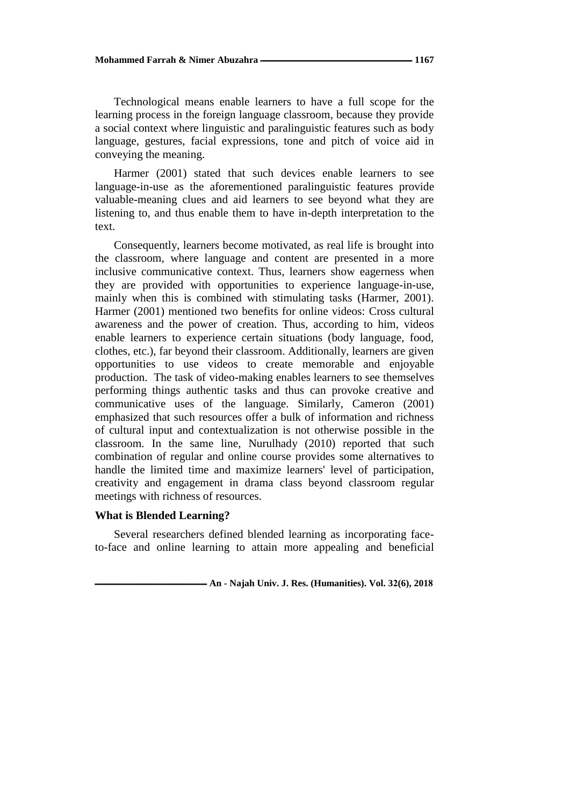Technological means enable learners to have a full scope for the learning process in the foreign language classroom, because they provide a social context where linguistic and paralinguistic features such as body language, gestures, facial expressions, tone and pitch of voice aid in conveying the meaning.

Harmer (2001) stated that such devices enable learners to see language-in-use as the aforementioned paralinguistic features provide valuable-meaning clues and aid learners to see beyond what they are listening to, and thus enable them to have in-depth interpretation to the text.

Consequently, learners become motivated, as real life is brought into the classroom, where language and content are presented in a more inclusive communicative context. Thus, learners show eagerness when they are provided with opportunities to experience language-in-use, mainly when this is combined with stimulating tasks (Harmer, 2001). Harmer (2001) mentioned two benefits for online videos: Cross cultural awareness and the power of creation. Thus, according to him, videos enable learners to experience certain situations (body language, food, clothes, etc.), far beyond their classroom. Additionally, learners are given opportunities to use videos to create memorable and enjoyable production. The task of video-making enables learners to see themselves performing things authentic tasks and thus can provoke creative and communicative uses of the language. Similarly, Cameron (2001) emphasized that such resources offer a bulk of information and richness of cultural input and contextualization is not otherwise possible in the classroom. In the same line, Nurulhady (2010) reported that such combination of regular and online course provides some alternatives to handle the limited time and maximize learners' level of participation, creativity and engagement in drama class beyond classroom regular meetings with richness of resources.

# **What is Blended Learning?**

Several researchers defined blended learning as incorporating faceto-face and online learning to attain more appealing and beneficial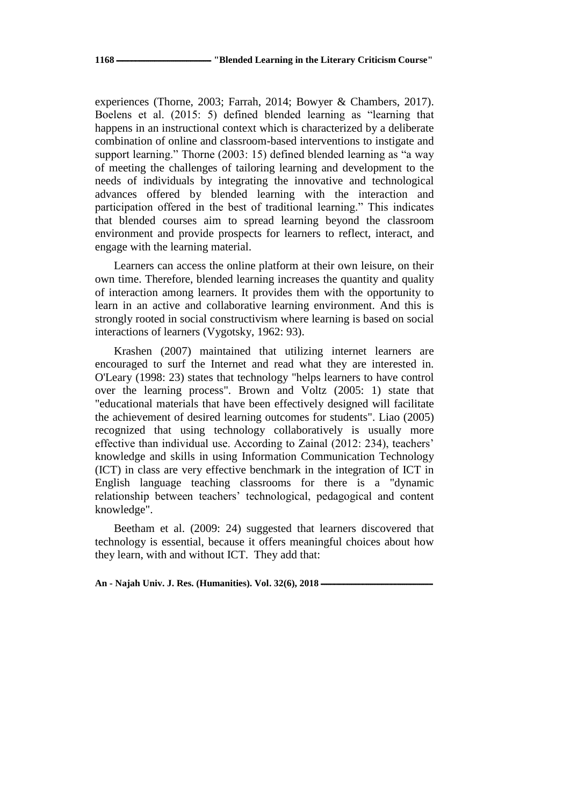experiences (Thorne, 2003; Farrah, 2014; Bowyer & Chambers, 2017). Boelens et al. (2015: 5) defined blended learning as "learning that happens in an instructional context which is characterized by a deliberate combination of online and classroom-based interventions to instigate and support learning." Thorne (2003: 15) defined blended learning as "a way of meeting the challenges of tailoring learning and development to the needs of individuals by integrating the innovative and technological advances offered by blended learning with the interaction and participation offered in the best of traditional learning." This indicates that blended courses aim to spread learning beyond the classroom environment and provide prospects for learners to reflect, interact, and engage with the learning material.

Learners can access the online platform at their own leisure, on their own time. Therefore, blended learning increases the quantity and quality of interaction among learners. It provides them with the opportunity to learn in an active and collaborative learning environment. And this is strongly rooted in social constructivism where learning is based on social interactions of learners (Vygotsky, 1962: 93).

Krashen (2007) maintained that utilizing internet learners are encouraged to surf the Internet and read what they are interested in. O'Leary (1998: 23) states that technology "helps learners to have control over the learning process". Brown and Voltz (2005: 1) state that "educational materials that have been effectively designed will facilitate the achievement of desired learning outcomes for students". Liao (2005) recognized that using technology collaboratively is usually more effective than individual use. According to Zainal (2012: 234), teachers' knowledge and skills in using Information Communication Technology (ICT) in class are very effective benchmark in the integration of ICT in English language teaching classrooms for there is a "dynamic relationship between teachers' technological, pedagogical and content knowledge".

Beetham et al. (2009: 24) suggested that learners discovered that technology is essential, because it offers meaningful choices about how they learn, with and without ICT. They add that: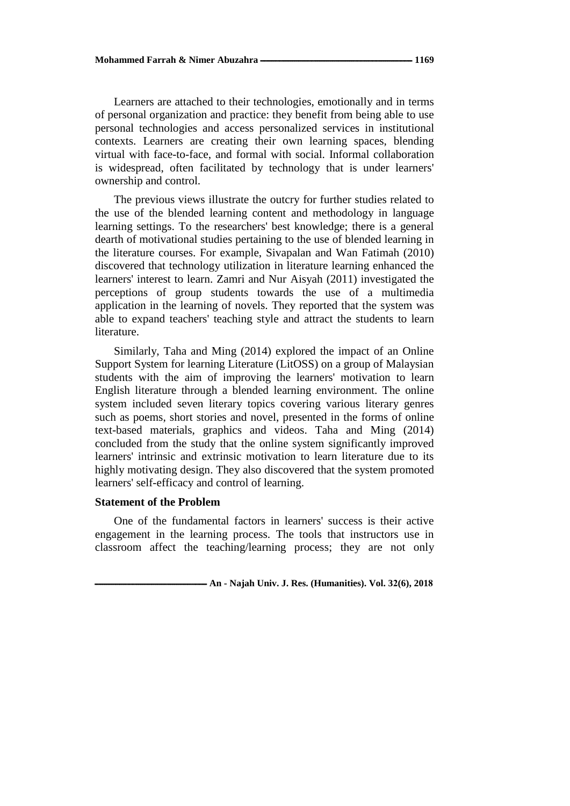Learners are attached to their technologies, emotionally and in terms of personal organization and practice: they benefit from being able to use personal technologies and access personalized services in institutional contexts. Learners are creating their own learning spaces, blending virtual with face-to-face, and formal with social. Informal collaboration is widespread, often facilitated by technology that is under learners' ownership and control.

The previous views illustrate the outcry for further studies related to the use of the blended learning content and methodology in language learning settings. To the researchers' best knowledge; there is a general dearth of motivational studies pertaining to the use of blended learning in the literature courses. For example, Sivapalan and Wan Fatimah (2010) discovered that technology utilization in literature learning enhanced the learners' interest to learn. Zamri and Nur Aisyah (2011) investigated the perceptions of group students towards the use of a multimedia application in the learning of novels. They reported that the system was able to expand teachers' teaching style and attract the students to learn literature.

Similarly, Taha and Ming (2014) explored the impact of an Online Support System for learning Literature (LitOSS) on a group of Malaysian students with the aim of improving the learners' motivation to learn English literature through a blended learning environment. The online system included seven literary topics covering various literary genres such as poems, short stories and novel, presented in the forms of online text-based materials, graphics and videos. Taha and Ming (2014) concluded from the study that the online system significantly improved learners' intrinsic and extrinsic motivation to learn literature due to its highly motivating design. They also discovered that the system promoted learners' self-efficacy and control of learning.

## **Statement of the Problem**

One of the fundamental factors in learners' success is their active engagement in the learning process. The tools that instructors use in classroom affect the teaching/learning process; they are not only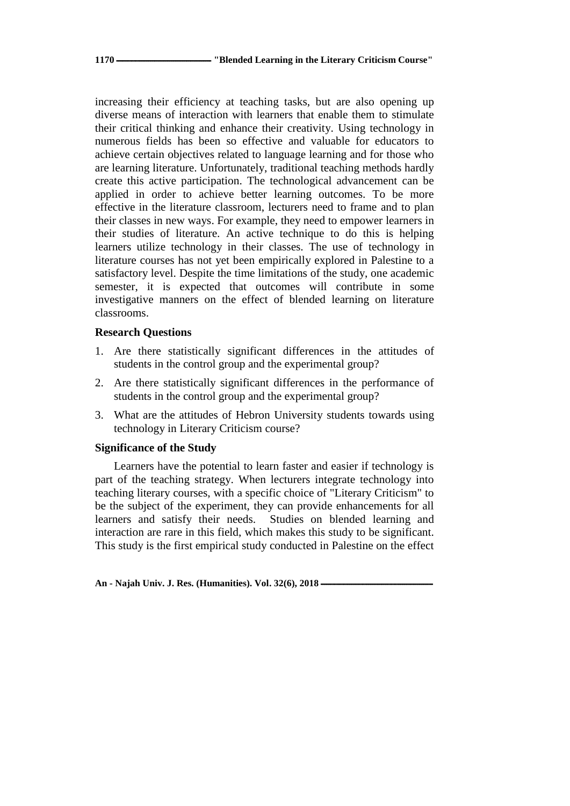increasing their efficiency at teaching tasks, but are also opening up diverse means of interaction with learners that enable them to stimulate their critical thinking and enhance their creativity. Using technology in numerous fields has been so effective and valuable for educators to achieve certain objectives related to language learning and for those who are learning literature. Unfortunately, traditional teaching methods hardly create this active participation. The technological advancement can be applied in order to achieve better learning outcomes. To be more effective in the literature classroom, lecturers need to frame and to plan their classes in new ways. For example, they need to empower learners in their studies of literature. An active technique to do this is helping learners utilize technology in their classes. The use of technology in literature courses has not yet been empirically explored in Palestine to a satisfactory level. Despite the time limitations of the study, one academic semester, it is expected that outcomes will contribute in some investigative manners on the effect of blended learning on literature classrooms.

## **Research Questions**

- 1. Are there statistically significant differences in the attitudes of students in the control group and the experimental group?
- 2. Are there statistically significant differences in the performance of students in the control group and the experimental group?
- 3. What are the attitudes of Hebron University students towards using technology in Literary Criticism course?

# **Significance of the Study**

Learners have the potential to learn faster and easier if technology is part of the teaching strategy. When lecturers integrate technology into teaching literary courses, with a specific choice of "Literary Criticism" to be the subject of the experiment, they can provide enhancements for all learners and satisfy their needs. Studies on blended learning and interaction are rare in this field, which makes this study to be significant. This study is the first empirical study conducted in Palestine on the effect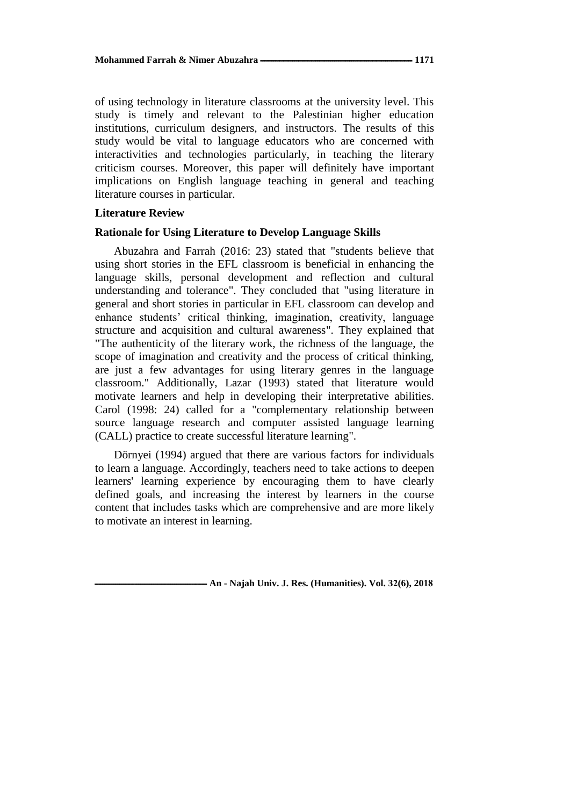of using technology in literature classrooms at the university level. This study is timely and relevant to the Palestinian higher education institutions, curriculum designers, and instructors. The results of this study would be vital to language educators who are concerned with interactivities and technologies particularly, in teaching the literary criticism courses. Moreover, this paper will definitely have important implications on English language teaching in general and teaching literature courses in particular.

## **Literature Review**

## **Rationale for Using Literature to Develop Language Skills**

Abuzahra and Farrah (2016: 23) stated that "students believe that using short stories in the EFL classroom is beneficial in enhancing the language skills, personal development and reflection and cultural understanding and tolerance". They concluded that "using literature in general and short stories in particular in EFL classroom can develop and enhance students' critical thinking, imagination, creativity, language structure and acquisition and cultural awareness". They explained that "The authenticity of the literary work, the richness of the language, the scope of imagination and creativity and the process of critical thinking, are just a few advantages for using literary genres in the language classroom." Additionally, Lazar (1993) stated that literature would motivate learners and help in developing their interpretative abilities. Carol (1998: 24) called for a "complementary relationship between source language research and computer assisted language learning (CALL) practice to create successful literature learning".

Dörnyei (1994) argued that there are various factors for individuals to learn a language. Accordingly, teachers need to take actions to deepen learners' learning experience by encouraging them to have clearly defined goals, and increasing the interest by learners in the course content that includes tasks which are comprehensive and are more likely to motivate an interest in learning.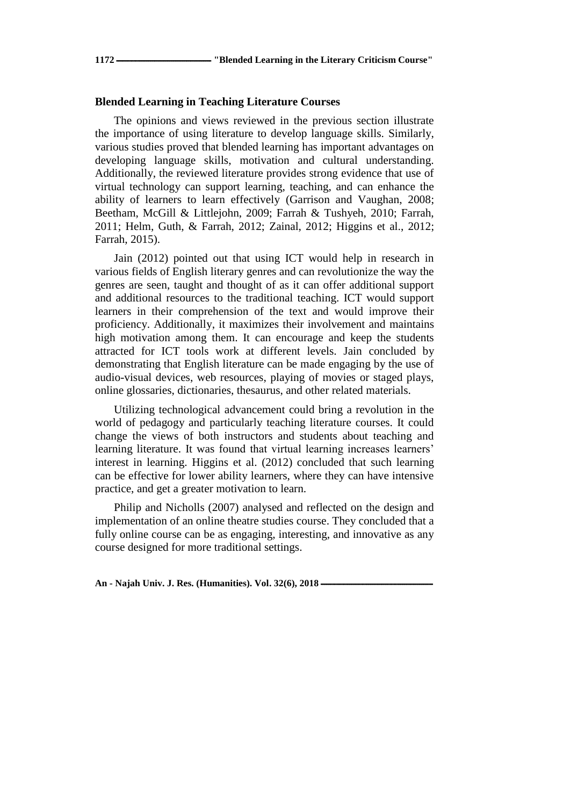## **Blended Learning in Teaching Literature Courses**

The opinions and views reviewed in the previous section illustrate the importance of using literature to develop language skills. Similarly, various studies proved that blended learning has important advantages on developing language skills, motivation and cultural understanding. Additionally, the reviewed literature provides strong evidence that use of virtual technology can support learning, teaching, and can enhance the ability of learners to learn effectively (Garrison and Vaughan, 2008; Beetham, McGill & Littlejohn, 2009; Farrah & Tushyeh, 2010; Farrah, 2011; Helm, Guth, & Farrah, 2012; Zainal, 2012; Higgins et al., 2012; Farrah, 2015).

Jain (2012) pointed out that using ICT would help in research in various fields of English literary genres and can revolutionize the way the genres are seen, taught and thought of as it can offer additional support and additional resources to the traditional teaching. ICT would support learners in their comprehension of the text and would improve their proficiency. Additionally, it maximizes their involvement and maintains high motivation among them. It can encourage and keep the students attracted for ICT tools work at different levels. Jain concluded by demonstrating that English literature can be made engaging by the use of audio-visual devices, web resources, playing of movies or staged plays, online glossaries, dictionaries, thesaurus, and other related materials.

Utilizing technological advancement could bring a revolution in the world of pedagogy and particularly teaching literature courses. It could change the views of both instructors and students about teaching and learning literature. It was found that virtual learning increases learners' interest in learning. Higgins et al. (2012) concluded that such learning can be effective for lower ability learners, where they can have intensive practice, and get a greater motivation to learn.

Philip and Nicholls (2007) analysed and reflected on the design and implementation of an online theatre studies course. They concluded that a fully online course can be as engaging, interesting, and innovative as any course designed for more traditional settings.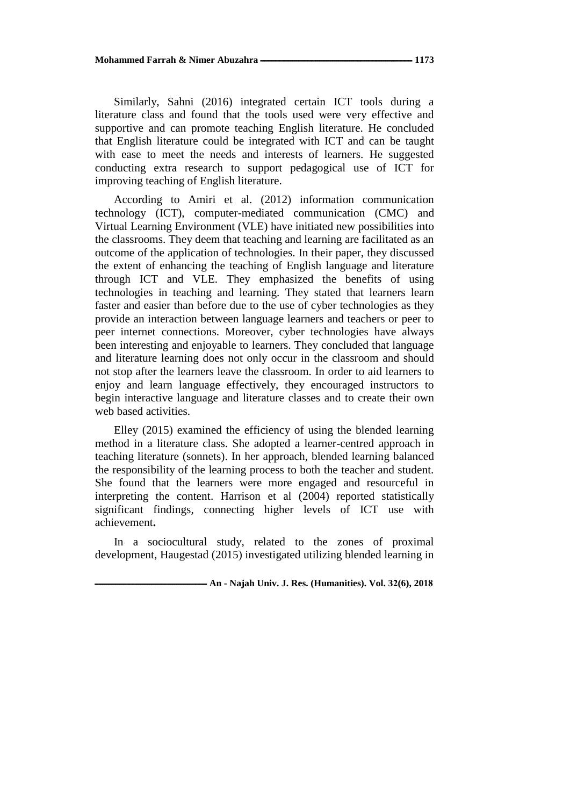Similarly, Sahni (2016) integrated certain ICT tools during a literature class and found that the tools used were very effective and supportive and can promote teaching English literature. He concluded that English literature could be integrated with ICT and can be taught with ease to meet the needs and interests of learners. He suggested conducting extra research to support pedagogical use of ICT for improving teaching of English literature.

According to Amiri et al. (2012) information communication technology (ICT), computer-mediated communication (CMC) and Virtual Learning Environment (VLE) have initiated new possibilities into the classrooms. They deem that teaching and learning are facilitated as an outcome of the application of technologies. In their paper, they discussed the extent of enhancing the teaching of English language and literature through ICT and VLE. They emphasized the benefits of using technologies in teaching and learning. They stated that learners learn faster and easier than before due to the use of cyber technologies as they provide an interaction between language learners and teachers or peer to peer internet connections. Moreover, cyber technologies have always been interesting and enjoyable to learners. They concluded that language and literature learning does not only occur in the classroom and should not stop after the learners leave the classroom. In order to aid learners to enjoy and learn language effectively, they encouraged instructors to begin interactive language and literature classes and to create their own web based activities.

Elley (2015) examined the efficiency of using the blended learning method in a literature class. She adopted a learner-centred approach in teaching literature (sonnets). In her approach, blended learning balanced the responsibility of the learning process to both the teacher and student. She found that the learners were more engaged and resourceful in interpreting the content. Harrison et al (2004) reported statistically significant findings, connecting higher levels of ICT use with achievement**.**

In a sociocultural study, related to the zones of proximal development, Haugestad (2015) investigated utilizing blended learning in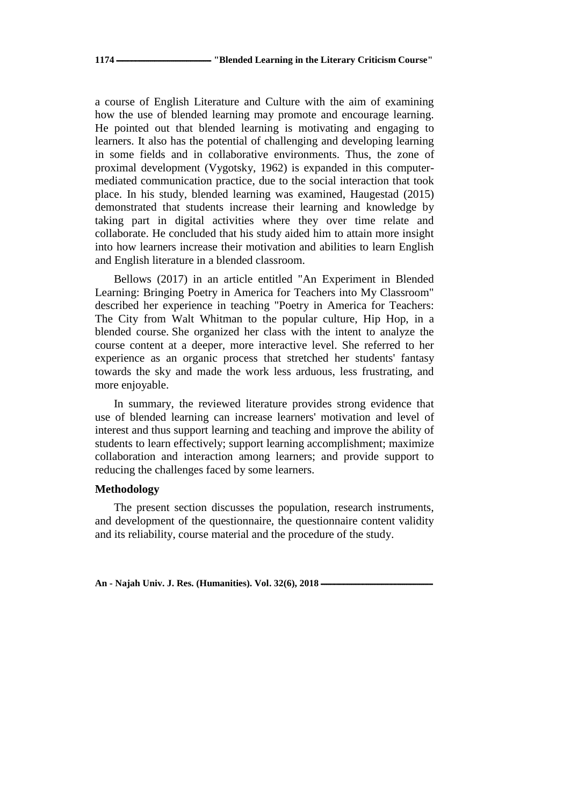a course of English Literature and Culture with the aim of examining how the use of blended learning may promote and encourage learning. He pointed out that blended learning is motivating and engaging to learners. It also has the potential of challenging and developing learning in some fields and in collaborative environments. Thus, the zone of proximal development (Vygotsky, 1962) is expanded in this computermediated communication practice, due to the social interaction that took place. In his study, blended learning was examined, Haugestad (2015) demonstrated that students increase their learning and knowledge by taking part in digital activities where they over time relate and collaborate. He concluded that his study aided him to attain more insight into how learners increase their motivation and abilities to learn English and English literature in a blended classroom.

Bellows (2017) in an article entitled "An Experiment in Blended Learning: Bringing Poetry in America for Teachers into My Classroom" described her experience in teaching "Poetry in America for Teachers: The City from Walt Whitman to the popular culture, Hip Hop, in a blended course. She organized her class with the intent to analyze the course content at a deeper, more interactive level. She referred to her experience as an organic process that stretched her students' fantasy towards the sky and made the work less arduous, less frustrating, and more enjoyable.

In summary, the reviewed literature provides strong evidence that use of blended learning can increase learners' motivation and level of interest and thus support learning and teaching and improve the ability of students to learn effectively; support learning accomplishment; maximize collaboration and interaction among learners; and provide support to reducing the challenges faced by some learners.

## **Methodology**

The present section discusses the population, research instruments, and development of the questionnaire, the questionnaire content validity and its reliability, course material and the procedure of the study.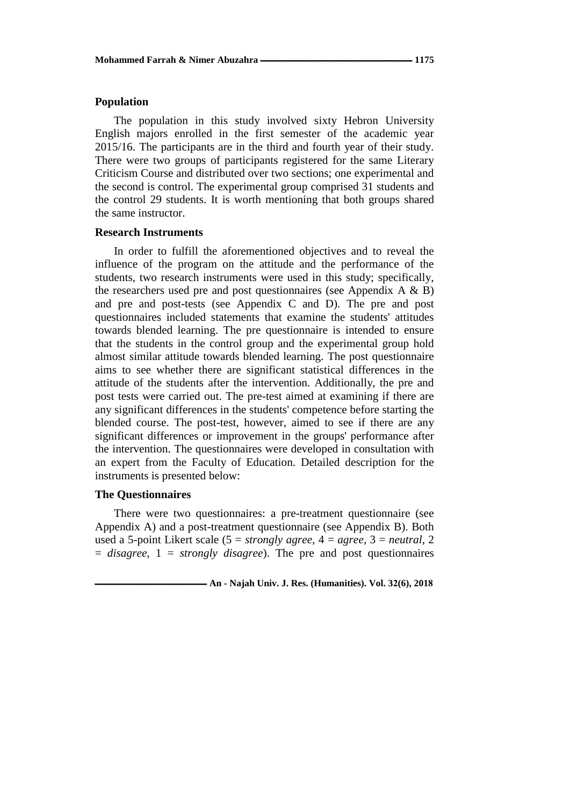## **Population**

The population in this study involved sixty Hebron University English majors enrolled in the first semester of the academic year 2015/16. The participants are in the third and fourth year of their study. There were two groups of participants registered for the same Literary Criticism Course and distributed over two sections; one experimental and the second is control. The experimental group comprised 31 students and the control 29 students. It is worth mentioning that both groups shared the same instructor.

### **Research Instruments**

In order to fulfill the aforementioned objectives and to reveal the influence of the program on the attitude and the performance of the students, two research instruments were used in this study; specifically, the researchers used pre and post questionnaires (see Appendix  $A \& B$ ) and pre and post-tests (see Appendix C and D). The pre and post questionnaires included statements that examine the students' attitudes towards blended learning. The pre questionnaire is intended to ensure that the students in the control group and the experimental group hold almost similar attitude towards blended learning. The post questionnaire aims to see whether there are significant statistical differences in the attitude of the students after the intervention. Additionally, the pre and post tests were carried out. The pre-test aimed at examining if there are any significant differences in the students' competence before starting the blended course. The post-test, however, aimed to see if there are any significant differences or improvement in the groups' performance after the intervention. The questionnaires were developed in consultation with an expert from the Faculty of Education. Detailed description for the instruments is presented below:

#### **The Questionnaires**

There were two questionnaires: a pre-treatment questionnaire (see Appendix A) and a post-treatment questionnaire (see Appendix B). Both used a 5-point Likert scale (5 = *strongly agree*, 4 = *agree*, 3 = *neutral*, 2 = *disagree*, 1 = *strongly disagree*). The pre and post questionnaires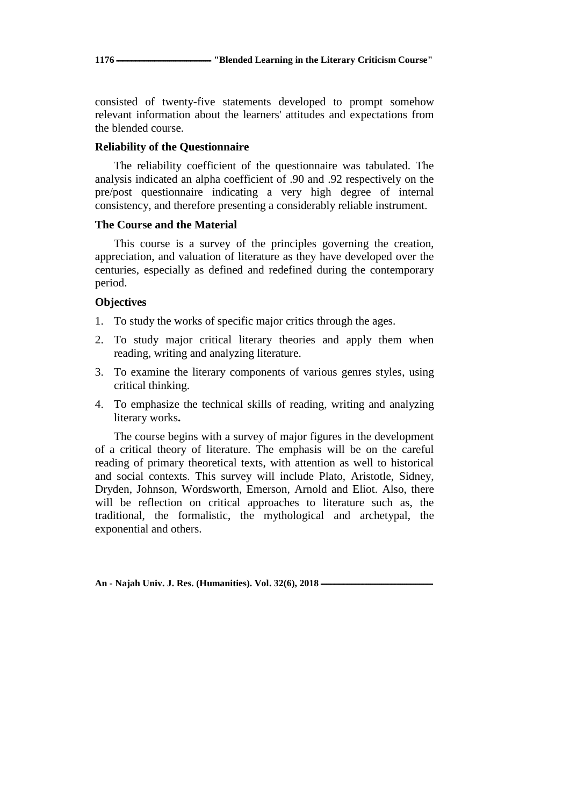consisted of twenty-five statements developed to prompt somehow relevant information about the learners' attitudes and expectations from the blended course.

## **Reliability of the Questionnaire**

The reliability coefficient of the questionnaire was tabulated. The analysis indicated an alpha coefficient of .90 and .92 respectively on the pre/post questionnaire indicating a very high degree of internal consistency, and therefore presenting a considerably reliable instrument.

## **The Course and the Material**

This course is a survey of the principles governing the creation, appreciation, and valuation of literature as they have developed over the centuries, especially as defined and redefined during the contemporary period.

## **Objectives**

- 1. To study the works of specific major critics through the ages.
- 2. To study major critical literary theories and apply them when reading, writing and analyzing literature.
- 3. To examine the literary components of various genres styles, using critical thinking.
- 4. To emphasize the technical skills of reading, writing and analyzing literary works**.**

The course begins with a survey of major figures in the development of a critical theory of literature. The emphasis will be on the careful reading of primary theoretical texts, with attention as well to historical and social contexts. This survey will include Plato, Aristotle, Sidney, Dryden, Johnson, Wordsworth, Emerson, Arnold and Eliot. Also, there will be reflection on critical approaches to literature such as, the traditional, the formalistic, the mythological and archetypal, the exponential and others.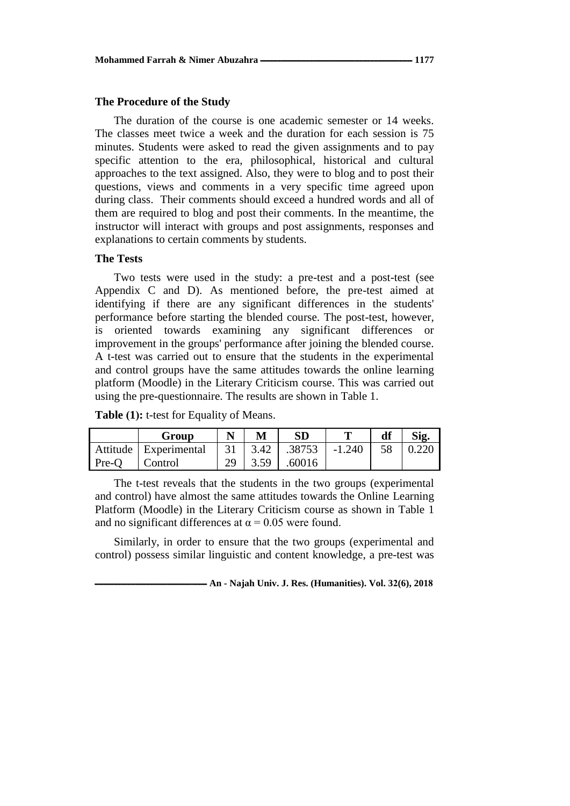## **The Procedure of the Study**

The duration of the course is one academic semester or 14 weeks. The classes meet twice a week and the duration for each session is 75 minutes. Students were asked to read the given assignments and to pay specific attention to the era, philosophical, historical and cultural approaches to the text assigned. Also, they were to blog and to post their questions, views and comments in a very specific time agreed upon during class. Their comments should exceed a hundred words and all of them are required to blog and post their comments. In the meantime, the instructor will interact with groups and post assignments, responses and explanations to certain comments by students.

## **The Tests**

Two tests were used in the study: a pre-test and a post-test (see Appendix C and D). As mentioned before, the pre-test aimed at identifying if there are any significant differences in the students' performance before starting the blended course. The post-test, however, is oriented towards examining any significant differences or improvement in the groups' performance after joining the blended course. A t-test was carried out to ensure that the students in the experimental and control groups have the same attitudes towards the online learning platform (Moodle) in the Literary Criticism course. This was carried out using the pre-questionnaire. The results are shown in Table 1.

**Table (1):** t-test for Equality of Means.

|         | Group                   | M       | <b>SD</b>                  |          | df | Sig.  |
|---------|-------------------------|---------|----------------------------|----------|----|-------|
|         | Attitude   Experimental |         | $31 \mid 3.42 \mid .38753$ | $-1.240$ | 58 | 0.220 |
| $Pre-O$ | Control                 | 29 3.59 | .60016                     |          |    |       |

The t-test reveals that the students in the two groups (experimental and control) have almost the same attitudes towards the Online Learning Platform (Moodle) in the Literary Criticism course as shown in Table 1 and no significant differences at  $\alpha$  = 0.05 were found.

Similarly, in order to ensure that the two groups (experimental and control) possess similar linguistic and content knowledge, a pre-test was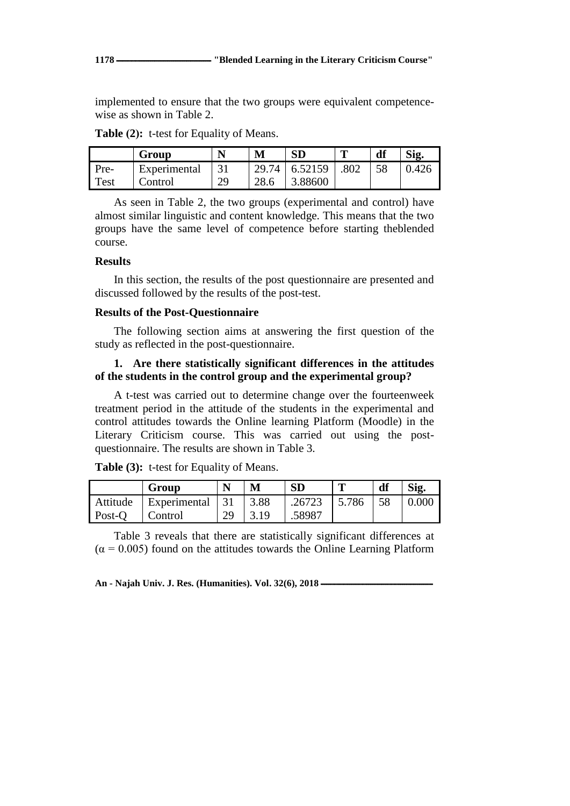implemented to ensure that the two groups were equivalent competencewise as shown in Table 2.

|      | Group        | N  |       |         | π    | df | Sig.  |
|------|--------------|----|-------|---------|------|----|-------|
| Pre- | Experimental |    | 29.74 | 6.52159 | .802 |    | 0.426 |
| Test | Control      | 29 | ററ    | 3.88600 |      |    |       |

Table (2): t-test for Equality of Means.

As seen in Table 2, the two groups (experimental and control) have almost similar linguistic and content knowledge. This means that the two groups have the same level of competence before starting theblended course.

## **Results**

In this section, the results of the post questionnaire are presented and discussed followed by the results of the post-test.

## **Results of the Post-Questionnaire**

The following section aims at answering the first question of the study as reflected in the post-questionnaire.

# **1. Are there statistically significant differences in the attitudes of the students in the control group and the experimental group?**

A t-test was carried out to determine change over the fourteenweek treatment period in the attitude of the students in the experimental and control attitudes towards the Online learning Platform (Moodle) in the Literary Criticism course. This was carried out using the postquestionnaire. The results are shown in Table 3.

|                | Group                        |    | M                                           | <b>SD</b>                             | т | df | Sig.         |
|----------------|------------------------------|----|---------------------------------------------|---------------------------------------|---|----|--------------|
|                | Attitude   Experimental   31 |    | $\begin{array}{c} \boxed{3.88} \end{array}$ | $\mid .26723 \mid 5.786 \mid 58 \mid$ |   |    | $\mid$ 0.000 |
| Post-O Control |                              | 29 | 3.19                                        | .58987                                |   |    |              |

**Table (3):** t-test for Equality of Means.

Table 3 reveals that there are statistically significant differences at  $(\alpha = 0.005)$  found on the attitudes towards the Online Learning Platform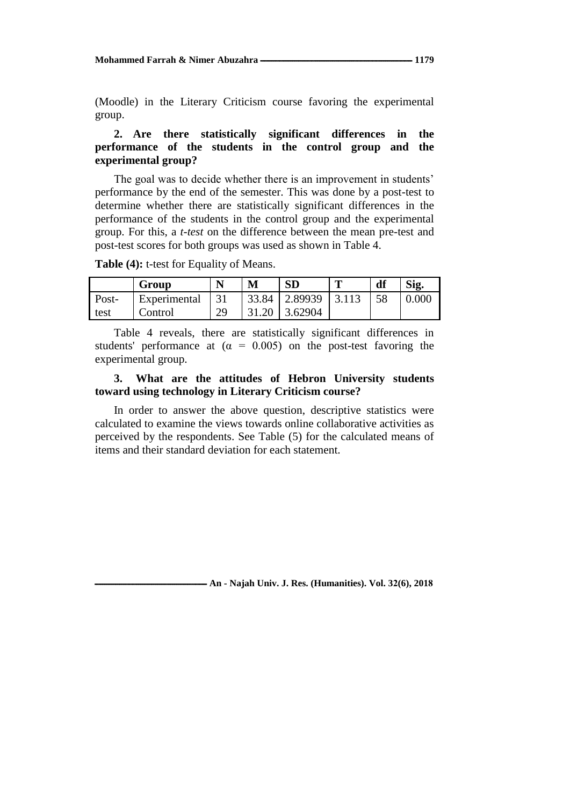(Moodle) in the Literary Criticism course favoring the experimental group.

# **2. Are there statistically significant differences in the performance of the students in the control group and the experimental group?**

The goal was to decide whether there is an improvement in students' performance by the end of the semester. This was done by a post-test to determine whether there are statistically significant differences in the performance of the students in the control group and the experimental group. For this, a *t-test* on the difference between the mean pre-test and post-test scores for both groups was used as shown in Table 4.

**Table (4):** t-test for Equality of Means.

|       | Group        |    | M     | <b>SD</b>      | m     | df | Sig.  |
|-------|--------------|----|-------|----------------|-------|----|-------|
| Post- | Experimental | 31 |       | 33.84 2.89939  | 3.113 | 58 | 0.000 |
| test  | Control      | 29 | 31.20 | $\mid$ 3.62904 |       |    |       |

Table 4 reveals, there are statistically significant differences in students' performance at  $(\alpha = 0.005)$  on the post-test favoring the experimental group.

# **3. What are the attitudes of Hebron University students toward using technology in Literary Criticism course?**

In order to answer the above question, descriptive statistics were calculated to examine the views towards online collaborative activities as perceived by the respondents. See Table (5) for the calculated means of items and their standard deviation for each statement.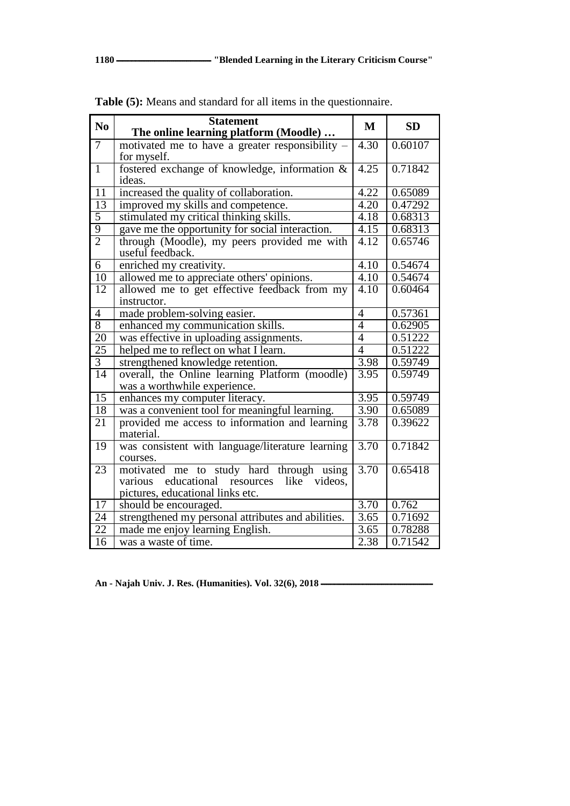| N <sub>0</sub>  | <b>Statement</b>                                       | M                 | <b>SD</b> |
|-----------------|--------------------------------------------------------|-------------------|-----------|
|                 | The online learning platform (Moodle)                  |                   |           |
| $\overline{7}$  | motivated me to have a greater responsibility –        | $\overline{4.30}$ | 0.60107   |
|                 | for myself.                                            |                   |           |
| $\overline{1}$  | fostered exchange of knowledge, information &          | 4.25              | 0.71842   |
|                 | ideas.                                                 |                   |           |
| $\overline{11}$ | increased the quality of collaboration.                | 4.22              | 0.65089   |
| 13              | improved my skills and competence.                     | 4.20              | 0.47292   |
| $\overline{5}$  | stimulated my critical thinking skills.                | 4.18              | 0.68313   |
| $\overline{9}$  | gave me the opportunity for social interaction.        | 4.15              | 0.68313   |
| $\overline{2}$  | through (Moodle), my peers provided me with            | 4.12              | 0.65746   |
|                 | useful feedback.                                       |                   |           |
| 6               | enriched my creativity.                                | 4.10              | 0.54674   |
| 10              | allowed me to appreciate others' opinions.             | 4.10              | 0.54674   |
| $\overline{12}$ | allowed me to get effective feedback from my           | $\overline{4.10}$ | 0.60464   |
|                 | instructor.                                            |                   |           |
| $\overline{4}$  | made problem-solving easier.                           | $\overline{4}$    | 0.57361   |
| 8               | enhanced my communication skills.                      | $\overline{4}$    | 0.62905   |
| 20              | was effective in uploading assignments.                | $\overline{4}$    | 0.51222   |
| 25              | helped me to reflect on what I learn.                  | $\overline{4}$    | 0.51222   |
| $\overline{3}$  | strengthened knowledge retention.                      | 3.98              | 0.59749   |
| 14              | overall, the Online learning Platform (moodle)         | 3.95              | 0.59749   |
|                 | was a worthwhile experience.                           |                   |           |
| $\overline{15}$ | enhances my computer literacy.                         | 3.95              | 0.59749   |
| 18              | was a convenient tool for meaningful learning.         | 3.90              | 0.65089   |
| 21              | provided me access to information and learning         | 3.78              | 0.39622   |
|                 | material.                                              |                   |           |
| 19              | was consistent with language/literature learning       | 3.70              | 0.71842   |
|                 | courses.                                               |                   |           |
| 23              | motivated me to study hard through using               | 3.70              | 0.65418   |
|                 | educational<br>like<br>resources<br>videos,<br>various |                   |           |
|                 | pictures, educational links etc.                       |                   |           |
| 17              | should be encouraged.                                  | 3.70              | 0.762     |
| 24              | strengthened my personal attributes and abilities.     | $\overline{3.65}$ | 0.71692   |
| $\overline{22}$ | made me enjoy learning English.                        | 3.65              | 0.78288   |
| $\overline{16}$ | was a waste of time.                                   | 2.38              | 0.71542   |

**Table (5):** Means and standard for all items in the questionnaire.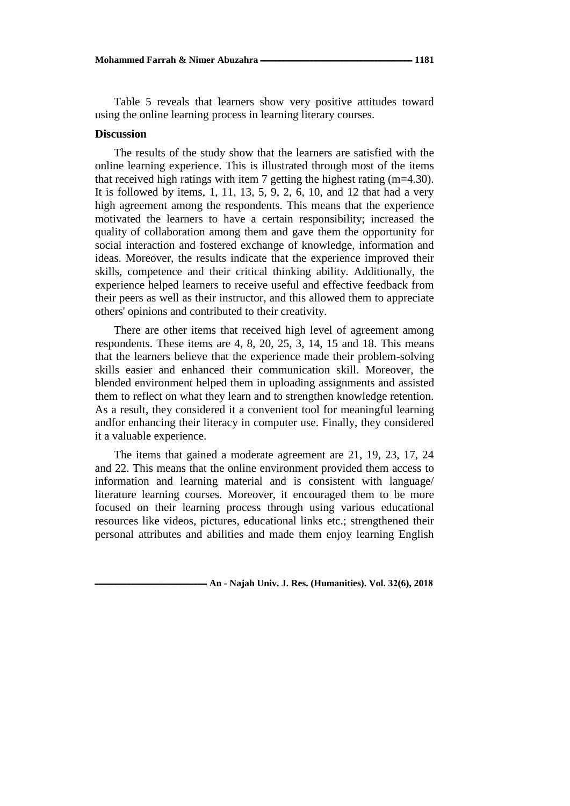Table 5 reveals that learners show very positive attitudes toward using the online learning process in learning literary courses.

### **Discussion**

The results of the study show that the learners are satisfied with the online learning experience. This is illustrated through most of the items that received high ratings with item 7 getting the highest rating  $(m=4.30)$ . It is followed by items,  $1, 11, 13, 5, 9, 2, 6, 10,$  and  $12$  that had a very high agreement among the respondents. This means that the experience motivated the learners to have a certain responsibility; increased the quality of collaboration among them and gave them the opportunity for social interaction and fostered exchange of knowledge, information and ideas. Moreover, the results indicate that the experience improved their skills, competence and their critical thinking ability. Additionally, the experience helped learners to receive useful and effective feedback from their peers as well as their instructor, and this allowed them to appreciate others' opinions and contributed to their creativity.

There are other items that received high level of agreement among respondents. These items are 4, 8, 20, 25, 3, 14, 15 and 18. This means that the learners believe that the experience made their problem-solving skills easier and enhanced their communication skill. Moreover, the blended environment helped them in uploading assignments and assisted them to reflect on what they learn and to strengthen knowledge retention. As a result, they considered it a convenient tool for meaningful learning andfor enhancing their literacy in computer use. Finally, they considered it a valuable experience.

The items that gained a moderate agreement are 21, 19, 23, 17, 24 and 22. This means that the online environment provided them access to information and learning material and is consistent with language/ literature learning courses. Moreover, it encouraged them to be more focused on their learning process through using various educational resources like videos, pictures, educational links etc.; strengthened their personal attributes and abilities and made them enjoy learning English

**ـــــــــــــــــــــــــــــــــــــــــــــــــــــــــــ An - Najah Univ. J. Res. (Humanities). Vol. 32(6), 2018**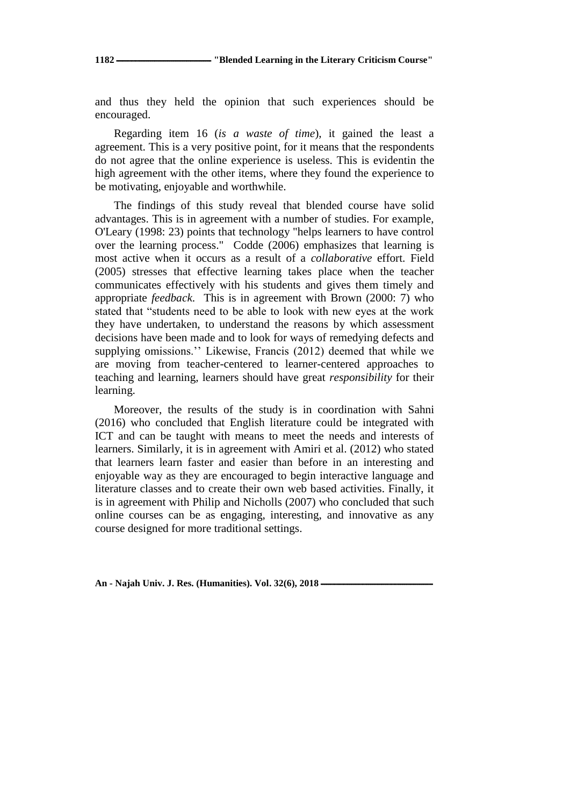and thus they held the opinion that such experiences should be encouraged.

Regarding item 16 (*is a waste of time*), it gained the least a agreement. This is a very positive point, for it means that the respondents do not agree that the online experience is useless. This is evidentin the high agreement with the other items, where they found the experience to be motivating, enjoyable and worthwhile.

The findings of this study reveal that blended course have solid advantages. This is in agreement with a number of studies. For example, O'Leary (1998: 23) points that technology "helps learners to have control over the learning process." Codde (2006) emphasizes that learning is most active when it occurs as a result of a *collaborative* effort. Field (2005) stresses that effective learning takes place when the teacher communicates effectively with his students and gives them timely and appropriate *feedback*. This is in agreement with Brown (2000: 7) who stated that "students need to be able to look with new eyes at the work they have undertaken, to understand the reasons by which assessment decisions have been made and to look for ways of remedying defects and supplying omissions.'' Likewise, Francis (2012) deemed that while we are moving from teacher-centered to learner-centered approaches to teaching and learning, learners should have great *responsibility* for their learning.

Moreover, the results of the study is in coordination with Sahni (2016) who concluded that English literature could be integrated with ICT and can be taught with means to meet the needs and interests of learners. Similarly, it is in agreement with Amiri et al. (2012) who stated that learners learn faster and easier than before in an interesting and enjoyable way as they are encouraged to begin interactive language and literature classes and to create their own web based activities. Finally, it is in agreement with Philip and Nicholls (2007) who concluded that such online courses can be as engaging, interesting, and innovative as any course designed for more traditional settings.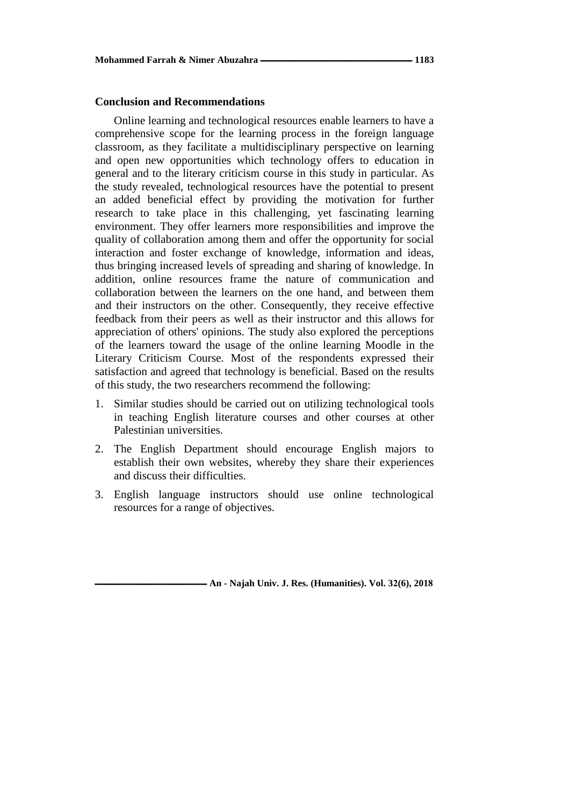## **Conclusion and Recommendations**

Online learning and technological resources enable learners to have a comprehensive scope for the learning process in the foreign language classroom, as they facilitate a multidisciplinary perspective on learning and open new opportunities which technology offers to education in general and to the literary criticism course in this study in particular. As the study revealed, technological resources have the potential to present an added beneficial effect by providing the motivation for further research to take place in this challenging, yet fascinating learning environment. They offer learners more responsibilities and improve the quality of collaboration among them and offer the opportunity for social interaction and foster exchange of knowledge, information and ideas, thus bringing increased levels of spreading and sharing of knowledge. In addition, online resources frame the nature of communication and collaboration between the learners on the one hand, and between them and their instructors on the other. Consequently, they receive effective feedback from their peers as well as their instructor and this allows for appreciation of others' opinions. The study also explored the perceptions of the learners toward the usage of the online learning Moodle in the Literary Criticism Course. Most of the respondents expressed their satisfaction and agreed that technology is beneficial. Based on the results of this study, the two researchers recommend the following:

- 1. Similar studies should be carried out on utilizing technological tools in teaching English literature courses and other courses at other Palestinian universities.
- 2. The English Department should encourage English majors to establish their own websites, whereby they share their experiences and discuss their difficulties.
- 3. English language instructors should use online technological resources for a range of objectives.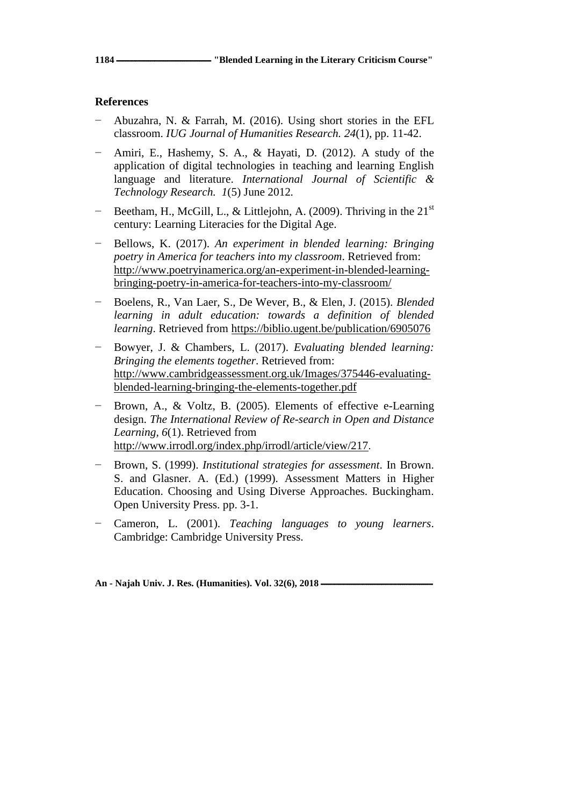# **References**

- − Abuzahra, N. & Farrah, M. (2016). Using short stories in the EFL classroom. *IUG Journal of Humanities Research. 24*(1), pp. 11-42.
- − Amiri, E., Hashemy, S. A., & Hayati, D. (2012). A study of the application of digital technologies in teaching and learning English language and literature. *International Journal of Scientific & Technology Research. 1*(5) June 2012*.*
- Beetham, H., McGill, L., & Littlejohn, A. (2009). Thriving in the  $21<sup>st</sup>$ century: Learning Literacies for the Digital Age.
- − Bellows, K. (2017). *An experiment in blended learning: Bringing poetry in America for teachers into my classroom*. Retrieved from: http://www.poetryinamerica.org/an-experiment-in-blended-learningbringing-poetry-in-america-for-teachers-into-my-classroom/
- − Boelens, R., Van Laer, S., De Wever, B., & Elen, J. (2015). *Blended learning in adult education: towards a definition of blended learning*. Retrieved from<https://biblio.ugent.be/publication/6905076>
- − Bowyer, J. & Chambers, L. (2017). *Evaluating blended learning: Bringing the elements together*. Retrieved from: [http://www.cambridgeassessment.org.uk/Images/375446-evaluating](http://www.cambridgeassessment.org.uk/Images/375446-evaluating-blended-learning-bringing-the-elements-together.pdf)[blended-learning-bringing-the-elements-together.pdf](http://www.cambridgeassessment.org.uk/Images/375446-evaluating-blended-learning-bringing-the-elements-together.pdf)
- Brown, A., & Voltz, B. (2005). Elements of effective e-Learning design. *The International Review of Re-search in Open and Distance Learning, 6*(1). Retrieved from http://www.irrodl.org/index.php/irrodl/article/view/217.
- − Brown, S. (1999). *Institutional strategies for assessment*. In Brown. S. and Glasner. A. (Ed.) (1999). Assessment Matters in Higher Education. Choosing and Using Diverse Approaches. Buckingham. Open University Press. pp. 3-1.
- − Cameron, L. (2001). *Teaching languages to young learners*. Cambridge: Cambridge University Press.

An - Najah Univ. J. Res. (Humanities). Vol. 32(6), 2018 -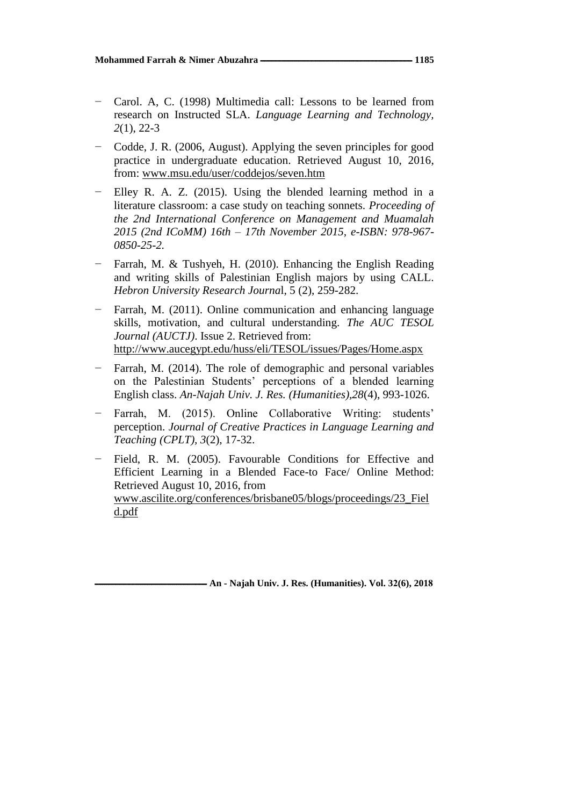- − Carol. A, C. (1998) Multimedia call: Lessons to be learned from research on Instructed SLA. *Language Learning and Technology, 2*(1), 22-3
- − Codde, J. R. (2006, August). Applying the seven principles for good practice in undergraduate education. Retrieved August 10, 2016, from: www.msu.edu/user/coddejos/seven.htm
- Elley R. A. Z. (2015). Using the blended learning method in a literature classroom: a case study on teaching sonnets. *Proceeding of the 2nd International Conference on Management and Muamalah 2015 (2nd ICoMM) 16th – 17th November 2015, e-ISBN: 978-967- 0850-25-2.*
- − Farrah, M. & Tushyeh, H. (2010). Enhancing the English Reading and writing skills of Palestinian English majors by using CALL. *Hebron University Research Journa*l, 5 (2), 259-282.
- Farrah, M. (2011). Online communication and enhancing language skills, motivation, and cultural understanding. *The AUC TESOL Journal (AUCTJ)*. Issue 2. Retrieved from: <http://www.aucegypt.edu/huss/eli/TESOL/issues/Pages/Home.aspx>
- Farrah, M. (2014). The role of demographic and personal variables on the Palestinian Students' perceptions of a blended learning English class. *An-Najah Univ. J. Res. (Humanities),28*(4), 993-1026.
- Farrah, M. (2015). Online Collaborative Writing: students' perception. *Journal of Creative Practices in Language Learning and Teaching (CPLT), 3*(2), 17-32.
- Field, R. M. (2005). Favourable Conditions for Effective and Efficient Learning in a Blended Face-to Face/ Online Method: Retrieved August 10, 2016, from [www.ascilite.org/conferences/brisbane05/blogs/proceedings/23\\_Fiel](http://www.ascilite.org/conferences/brisbane05/blogs/proceedings/23_Field.pdf) [d.pdf](http://www.ascilite.org/conferences/brisbane05/blogs/proceedings/23_Field.pdf)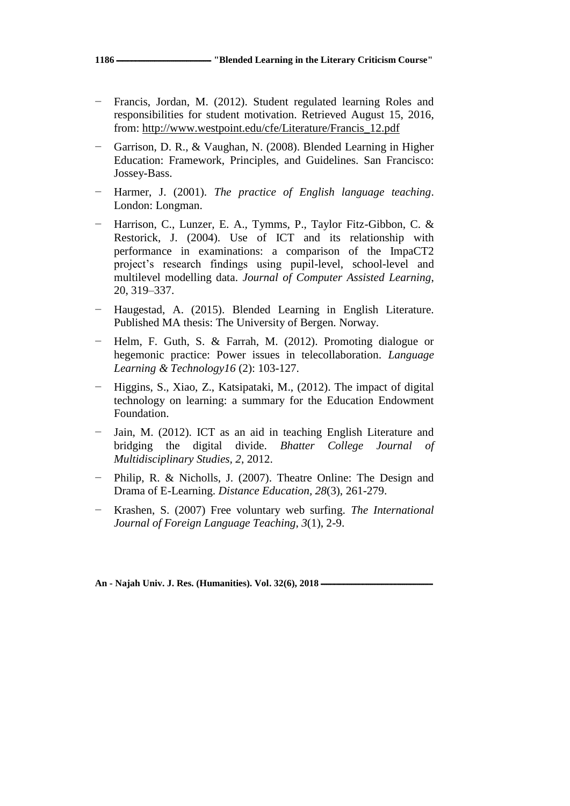- Francis, Jordan, M. (2012). Student regulated learning Roles and responsibilities for student motivation. Retrieved August 15, 2016, from: [http://www.westpoint.edu/cfe/Literature/Francis\\_12.pdf](http://www.westpoint.edu/cfe/Literature/Francis_12.pdf)
- − Garrison, D. R., & Vaughan, N. (2008). Blended Learning in Higher Education: Framework, Principles, and Guidelines. San Francisco: Jossey-Bass.
- − Harmer, J. (2001). *The practice of English language teaching*. London: Longman.
- − Harrison, C., Lunzer, E. A., Tymms, P., Taylor Fitz-Gibbon, C. & Restorick, J. (2004). Use of ICT and its relationship with performance in examinations: a comparison of the ImpaCT2 project's research findings using pupil-level, school-level and multilevel modelling data. *Journal of Computer Assisted Learning*, 20, 319–337.
- − Haugestad, A. (2015). Blended Learning in English Literature. Published MA thesis: The University of Bergen. Norway.
- − Helm, F. Guth, S. & Farrah, M. (2012). Promoting dialogue or hegemonic practice: Power issues in telecollaboration. *Language Learning & Technology16* (2): 103*-*127.
- − Higgins, S., Xiao, Z., Katsipataki, M., (2012). The impact of digital technology on learning: a summary for the Education Endowment Foundation.
- Jain, M. (2012). ICT as an aid in teaching English Literature and bridging the digital divide. *Bhatter College Journal of Multidisciplinary Studies, 2*, 2012.
- − Philip, R. & Nicholls, J. (2007). Theatre Online: The Design and Drama of E-Learning. *Distance Education, 28*(3), 261-279.
- − Krashen, S. (2007) Free voluntary web surfing. *The International Journal of Foreign Language Teaching*, *3*(1), 2-9.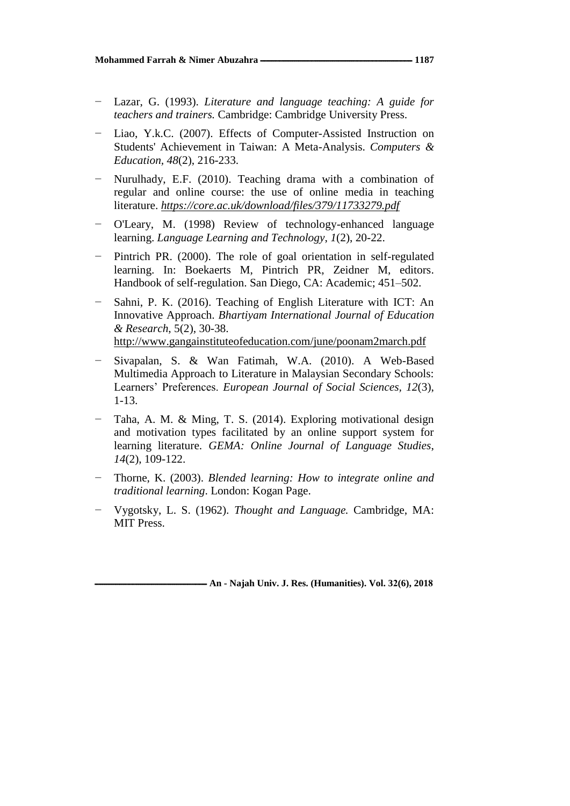- − Lazar, G. (1993). *Literature and language teaching: A guide for teachers and trainers.* Cambridge: Cambridge University Press.
- Liao, Y.k.C. (2007). Effects of Computer-Assisted Instruction on Students' Achievement in Taiwan: A Meta-Analysis. *Computers & Education, 48*(2), 216-233.
- − Nurulhady, E.F. (2010). Teaching drama with a combination of regular and online course: the use of online media in teaching literature. *<https://core.ac.uk/download/files/379/11733279.pdf>*
- − O'Leary, M. (1998) Review of technology-enhanced language learning. *Language Learning and Technology*, *1*(2), 20-22.
- − Pintrich PR. (2000). The role of goal orientation in self-regulated learning. In: Boekaerts M, Pintrich PR, Zeidner M, editors. Handbook of self-regulation. San Diego, CA: Academic; 451–502.
- Sahni, P. K. (2016). Teaching of English Literature with ICT: An Innovative Approach. *Bhartiyam International Journal of Education & Research*, 5(2), 30-38. <http://www.gangainstituteofeducation.com/june/poonam2march.pdf>
- − Sivapalan, S. & Wan Fatimah, W.A. (2010). A Web-Based Multimedia Approach to Literature in Malaysian Secondary Schools: Learners' Preferences. *European Journal of Social Sciences, 12*(3), 1-13.
- − Taha, A. M. & Ming, T. S. (2014). Exploring motivational design and motivation types facilitated by an online support system for learning literature. *GEMA: Online Journal of Language Studies*, *14*(2), 109-122.
- − Thorne, K. (2003). *Blended learning: How to integrate online and traditional learning*. London: Kogan Page.
- − Vygotsky, L. S. (1962). *Thought and Language.* Cambridge, MA: MIT Press.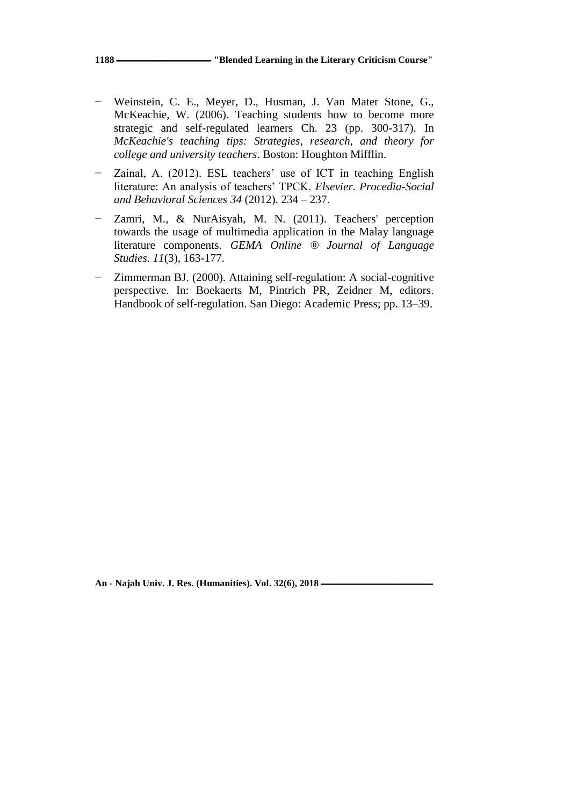- − Weinstein, C. E., Meyer, D., Husman, J. Van Mater Stone, G., McKeachie, W. (2006). Teaching students how to become more strategic and self-regulated learners Ch. 23 (pp. 300-317). In *McKeachie's teaching tips: Strategies, research, and theory for college and university teachers*. Boston: Houghton Mifflin.
- − Zainal, A. (2012). ESL teachers' use of ICT in teaching English literature: An analysis of teachers' TPCK. *Elsevier. Procedia-Social and Behavioral Sciences 34* (2012). 234 – 237.
- − Zamri, M., & NurAisyah, M. N. (2011). Teachers' perception towards the usage of multimedia application in the Malay language literature components. *GEMA Online ® Journal of Language Studies. 11*(3), 163-177.
- Zimmerman BJ. (2000). Attaining self-regulation: A social-cognitive perspective. In: Boekaerts M, Pintrich PR, Zeidner M, editors. Handbook of self-regulation. San Diego: Academic Press; pp. 13–39.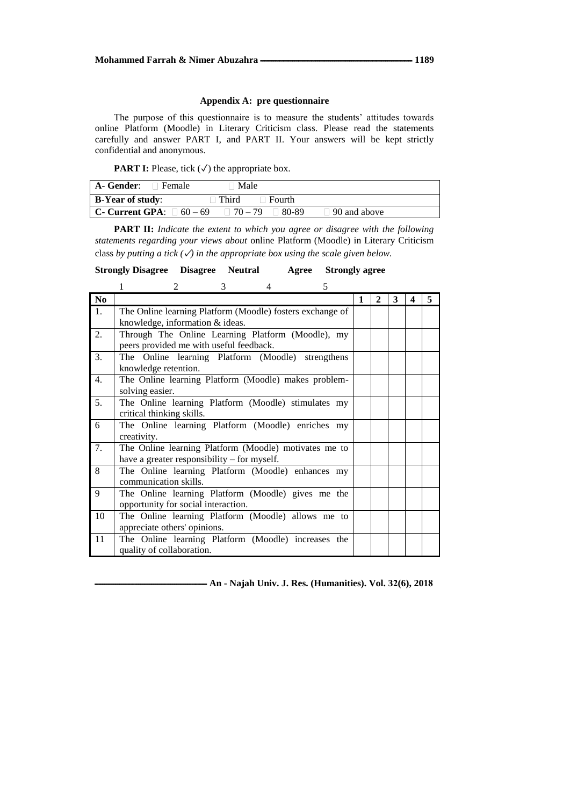#### **Appendix A: pre questionnaire**

The purpose of this questionnaire is to measure the students' attitudes towards online Platform (Moodle) in Literary Criticism class. Please read the statements carefully and answer PART I, and PART II. Your answers will be kept strictly confidential and anonymous.

**PART I:** Please, tick  $(\checkmark)$  the appropriate box.

| $A - \text{Gender}: \Box$ Female       | ∃ Male                            |                     |
|----------------------------------------|-----------------------------------|---------------------|
| <b>B-Year of study:</b>                | $\Box$ Third<br>$\sqcap$ Fourth . |                     |
| <b>C- Current GPA</b> : $\Box$ 60 – 69 | $\Box$ 70 – 79 $\Box$ 80-89       | $\Box$ 90 and above |

**PART II:** *Indicate the extent to which you agree or disagree with the following statements regarding your views about* online Platform (Moodle) in Literary Criticism class by putting a tick  $(\checkmark)$  in the appropriate box using the scale given below.

**Strongly Disagree Disagree Neutral Agree Strongly agree** 

|                | 5<br>$\mathfrak{D}$<br>3<br>4                                                                        |   |   |   |   |   |
|----------------|------------------------------------------------------------------------------------------------------|---|---|---|---|---|
| N <sub>0</sub> |                                                                                                      | 1 | 2 | 3 | 4 | 5 |
| 1.             | The Online learning Platform (Moodle) fosters exchange of<br>knowledge, information & ideas.         |   |   |   |   |   |
| 2.             | Through The Online Learning Platform (Moodle), my<br>peers provided me with useful feedback.         |   |   |   |   |   |
| 3.             | The Online learning Platform (Moodle) strengthens<br>knowledge retention.                            |   |   |   |   |   |
| 4.             | The Online learning Platform (Moodle) makes problem-<br>solving easier.                              |   |   |   |   |   |
| 5.             | The Online learning Platform (Moodle) stimulates my<br>critical thinking skills.                     |   |   |   |   |   |
| 6              | The Online learning Platform (Moodle) enriches my<br>creativity.                                     |   |   |   |   |   |
| 7.             | The Online learning Platform (Moodle) motivates me to<br>have a greater responsibility – for myself. |   |   |   |   |   |
| 8              | The Online learning Platform (Moodle) enhances my<br>communication skills.                           |   |   |   |   |   |
| 9              | The Online learning Platform (Moodle) gives me the<br>opportunity for social interaction.            |   |   |   |   |   |
| 10             | The Online learning Platform (Moodle) allows me to<br>appreciate others' opinions.                   |   |   |   |   |   |
| 11             | The Online learning Platform (Moodle) increases the<br>quality of collaboration.                     |   |   |   |   |   |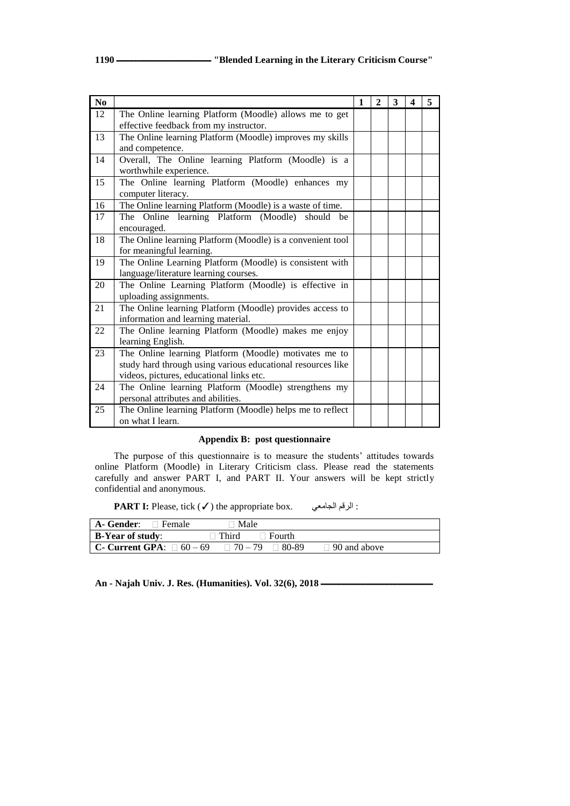| N <sub>0</sub> |                                                                                                                                                                  | $\mathbf{1}$ | $\mathbf{2}$ | 3 | 4 | 5 |
|----------------|------------------------------------------------------------------------------------------------------------------------------------------------------------------|--------------|--------------|---|---|---|
| 12             | The Online learning Platform (Moodle) allows me to get<br>effective feedback from my instructor.                                                                 |              |              |   |   |   |
| 13             | The Online learning Platform (Moodle) improves my skills<br>and competence.                                                                                      |              |              |   |   |   |
| 14             | Overall, The Online learning Platform (Moodle) is a<br>worthwhile experience.                                                                                    |              |              |   |   |   |
| 15             | The Online learning Platform (Moodle) enhances my<br>computer literacy.                                                                                          |              |              |   |   |   |
| 16             | The Online learning Platform (Moodle) is a waste of time.                                                                                                        |              |              |   |   |   |
| 17             | The Online learning Platform (Moodle) should be<br>encouraged.                                                                                                   |              |              |   |   |   |
| 18             | The Online learning Platform (Moodle) is a convenient tool<br>for meaningful learning.                                                                           |              |              |   |   |   |
| 19             | The Online Learning Platform (Moodle) is consistent with<br>language/literature learning courses.                                                                |              |              |   |   |   |
| 20             | The Online Learning Platform (Moodle) is effective in<br>uploading assignments.                                                                                  |              |              |   |   |   |
| 21             | The Online learning Platform (Moodle) provides access to<br>information and learning material.                                                                   |              |              |   |   |   |
| 22             | The Online learning Platform (Moodle) makes me enjoy<br>learning English.                                                                                        |              |              |   |   |   |
| 23             | The Online learning Platform (Moodle) motivates me to<br>study hard through using various educational resources like<br>videos, pictures, educational links etc. |              |              |   |   |   |
| 24             | The Online learning Platform (Moodle) strengthens my<br>personal attributes and abilities.                                                                       |              |              |   |   |   |
| 25             | The Online learning Platform (Moodle) helps me to reflect<br>on what I learn.                                                                                    |              |              |   |   |   |

## **Appendix B: post questionnaire**

The purpose of this questionnaire is to measure the students' attitudes towards online Platform (Moodle) in Literary Criticism class. Please read the statements carefully and answer PART I, and PART II. Your answers will be kept strictly confidential and anonymous.

**PART I:** Please, tick (✓) the appropriate box. ٍاندايع انشقى :

| A- Gender:<br>$\Box$ Female    |              | Male                      |                     |
|--------------------------------|--------------|---------------------------|---------------------|
| B-Year of study:               | $\top$ Third | $\Box$ Fourth             |                     |
| C- Current GPA: $\Box$ 60 – 69 |              | $\Box$ 70 – 79<br>80-89 ⊓ | $\Box$ 90 and above |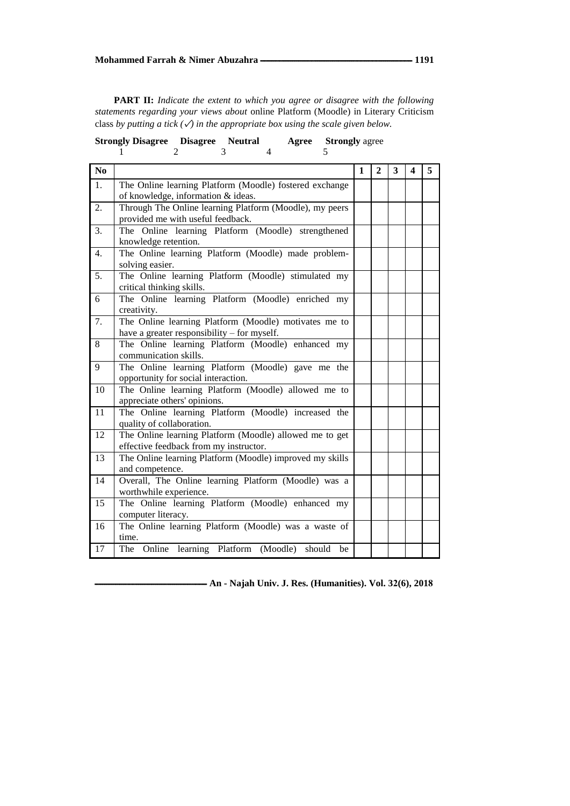**PART II:** *Indicate the extent to which you agree or disagree with the following statements regarding your views about* online Platform (Moodle) in Literary Criticism class *by putting a tick*  $(\checkmark)$  *in the appropriate box using the scale given below.* 

|                  | 3<br>$\mathbf{1}$<br>$\overline{c}$<br>4<br>5                                                        |   |                |   |   |   |
|------------------|------------------------------------------------------------------------------------------------------|---|----------------|---|---|---|
| N <sub>0</sub>   |                                                                                                      | 1 | $\overline{2}$ | 3 | 4 | 5 |
| 1.               | The Online learning Platform (Moodle) fostered exchange<br>of knowledge, information & ideas.        |   |                |   |   |   |
| 2.               | Through The Online learning Platform (Moodle), my peers<br>provided me with useful feedback.         |   |                |   |   |   |
| 3.               | The Online learning Platform (Moodle) strengthened<br>knowledge retention.                           |   |                |   |   |   |
| $\overline{4}$ . | The Online learning Platform (Moodle) made problem-<br>solving easier.                               |   |                |   |   |   |
| 5.               | The Online learning Platform (Moodle) stimulated my<br>critical thinking skills.                     |   |                |   |   |   |
| 6                | The Online learning Platform (Moodle) enriched my<br>creativity.                                     |   |                |   |   |   |
| 7.               | The Online learning Platform (Moodle) motivates me to<br>have a greater responsibility – for myself. |   |                |   |   |   |
| 8                | The Online learning Platform (Moodle) enhanced my<br>communication skills.                           |   |                |   |   |   |
| 9                | The Online learning Platform (Moodle) gave me the<br>opportunity for social interaction.             |   |                |   |   |   |
| 10               | The Online learning Platform (Moodle) allowed me to<br>appreciate others' opinions.                  |   |                |   |   |   |
| 11               | The Online learning Platform (Moodle) increased the<br>quality of collaboration.                     |   |                |   |   |   |
| 12               | The Online learning Platform (Moodle) allowed me to get<br>effective feedback from my instructor.    |   |                |   |   |   |
| 13               | The Online learning Platform (Moodle) improved my skills<br>and competence.                          |   |                |   |   |   |
| 14               | Overall, The Online learning Platform (Moodle) was a<br>worthwhile experience.                       |   |                |   |   |   |
| 15               | The Online learning Platform (Moodle) enhanced my<br>computer literacy.                              |   |                |   |   |   |
| 16               | The Online learning Platform (Moodle) was a waste of<br>time.                                        |   |                |   |   |   |
| 17               | The Online learning Platform (Moodle) should be                                                      |   |                |   |   |   |

|  | <b>Strongly Disagree Disagree Neutral</b> |  |  |  | <b>Agree</b> Strongly agree |
|--|-------------------------------------------|--|--|--|-----------------------------|
|--|-------------------------------------------|--|--|--|-----------------------------|